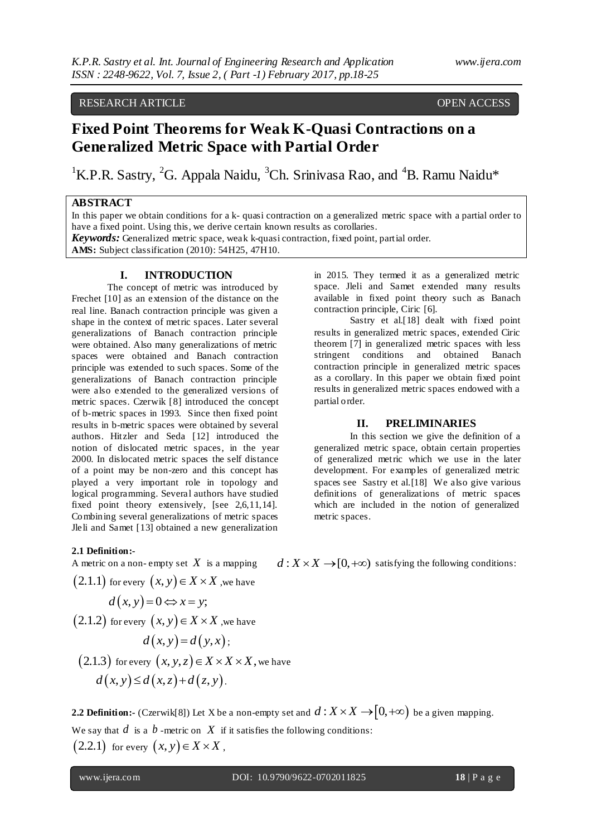# RESEARCH ARTICLE OPEN ACCESS

# **Fixed Point Theorems for Weak K-Quasi Contractions on a Generalized Metric Space with Partial Order**

<sup>1</sup>K.P.R. Sastry, <sup>2</sup>G. Appala Naidu, <sup>3</sup>Ch. Srinivasa Rao, and <sup>4</sup>B. Ramu Naidu\*

## **ABSTRACT**

In this paper we obtain conditions for a k- quasi contraction on a generalized metric space with a partial order to have a fixed point. Using this, we derive certain known results as corollaries.

*Keywords:* Generalized metric space, weak k-quasi contraction, fixed point, partial order.

**AMS:** Subject classification (2010): 54H25, 47H10.

#### **I. INTRODUCTION**

The concept of metric was introduced by Frechet [10] as an extension of the distance on the real line. Banach contraction principle was given a shape in the context of metric spaces. Later several generalizations of Banach contraction principle were obtained. Also many generalizations of metric spaces were obtained and Banach contraction principle was extended to such spaces. Some of the generalizations of Banach contraction principle were also extended to the generalized versions of metric spaces. Czerwik [8] introduced the concept of b-metric spaces in 1993. Since then fixed point results in b-metric spaces were obtained by several authors. Hitzler and Seda [12] introduced the notion of dislocated metric spaces, in the year 2000. In dislocated metric spaces the self distance of a point may be non-zero and this concept has played a very important role in topology and logical programming. Several authors have studied fixed point theory extensively, [see 2,6,11,14]. Combining several generalizations of metric spaces Jleli and Samet [13] obtained a new generalization

in 2015. They termed it as a generalized metric space. Jleli and Samet extended many results available in fixed point theory such as Banach contraction principle, Ciric [6].

Sastry et al.[18] dealt with fixed point results in generalized metric spaces, extended Ciric theorem [7] in generalized metric spaces with less stringent conditions and obtained Banach contraction principle in generalized metric spaces as a corollary. In this paper we obtain fixed point results in generalized metric spaces endowed with a partial order.

#### **II. PRELIMINARIES**

In this section we give the definition of a generalized metric space, obtain certain properties of generalized metric which we use in the later development. For examples of generalized metric spaces see Sastry et al.[18] We also give various definitions of generalizations of metric spaces which are included in the notion of generalized metric spaces.

#### **2.1 Definition:-**

A metric on a non-empty set 
$$
X
$$
 is a mapping.

is a mapping  $d: X \times X \rightarrow [0, +\infty)$  satisfying the following conditions:

 $(2.1.1)$  for every  $(x, y) \in X \times X$  ,we have

$$
d(x, y) = 0 \Leftrightarrow x = y;
$$

 $(2.1.2)$  for every  $(x, y) \in X \times X$  , we have

$$
d(x, y) = d(y, x);
$$

(2.1.3) for every 
$$
(x, y, z) \in X \times X \times X
$$
, we have  
\n $d(x, y) \leq d(x, z) + d(z, y)$ .

**2.2 Definition:-** (Czerwik[8]) Let X be a non-empty set and  $d: X \times X \rightarrow [0,+\infty)$  be a given mapping. We say that  $d$  is a  $b$  -metric on  $X$  if it satisfies the following conditions:  $(2.2.1)$  for every  $(x, y) \in X \times X$ ,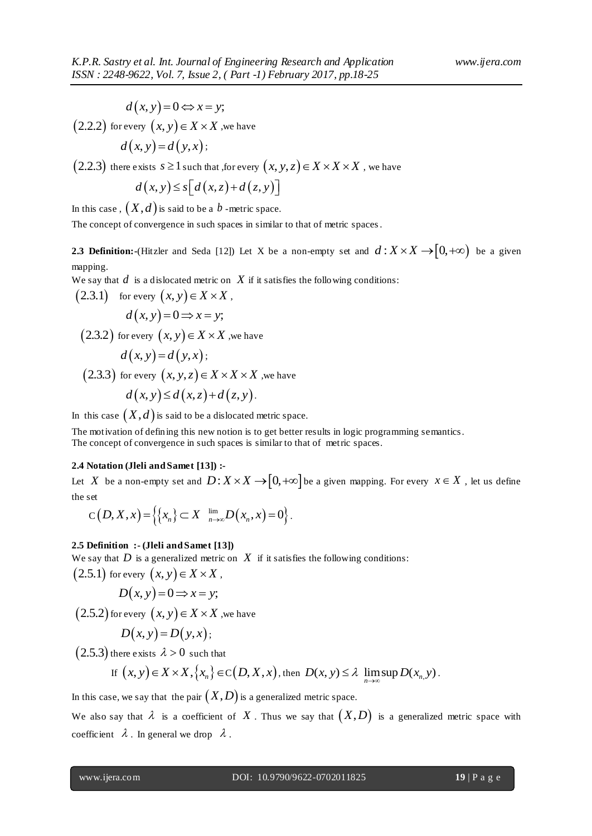$$
d(x, y) = 0 \Leftrightarrow x = y;
$$

 $\big( 2.2.2 \big)$  for every  $\big( x,y \big) \! \in \! X \! \times \! X$  ,we have

$$
d(x, y) = d(y, x);
$$

 $(2.2.3)$  there exists  $s \ge 1$  such that ,for every  $(x, y, z) \in X \times X \times X$  , we have

$$
d(x, y) \le s[d(x, z) + d(z, y)]
$$

In this case ,  $\big(X, d\big)$  is said to be a  $\emph{b}$  -metric space.

The concept of convergence in such spaces in similar to that of metric spaces.

**2.3 Definition:**-(Hitzler and Seda [12]) Let X be a non-empty set and  $d: X \times X \rightarrow [0, +\infty)$  be a given mapping.

We say that  $d$  is a dislocated metric on  $X$  if it satisfies the following conditions:

(2.3.1) for every 
$$
(x, y) \in X \times X
$$
,  
\n $d(x, y) = 0 \Rightarrow x = y$ ;  
\n(2.3.2) for every  $(x, y) \in X \times X$ , we have  
\n $d(x, y) = d(y, x)$ ;  
\n(2.3.3) for every  $(x, y, z) \in X \times X \times X$ , we have  
\n $d(x, y) \leq d(x, z) + d(z, y)$ .

In this case  $(X,d)$  is said to be a dislocated metric space.

The motivation of defining this new notion is to get better results in logic programming semantics. The concept of convergence in such spaces is similar to that of metric spaces.

#### **2.4 Notation (Jleli and Samet [13]) :-**

Let X be a non-empty set and  $D: X \times X \rightarrow [0, +\infty]$  be a given mapping. For every  $x \in X$ , let us define the set

the set  
\n
$$
C(D, X, x) = \left\{ \left\{ x_n \right\} \subset X \quad \lim_{n \to \infty} D(x_n, x) = 0 \right\}.
$$

#### **2.5 Definition :- (Jleli and Samet [13])**

We say that  $D$  is a generalized metric on  $X$  if it satisfies the following conditions:

 $(2.5.1)$  for every  $(x, y) \in X \times X$ ,

$$
D(x, y) = 0 \Longrightarrow x = y;
$$

 $(2.5.2)$  for every  $(x, y) \in X \times X$  , we have

$$
D(x, y) = D(y, x);
$$

 $(2.5.3)$  there exists  $\lambda > 0$  such that

If 
$$
(x, y) \in X \times X
$$
,  $\{x_n\} \in C(D, X, x)$ , then  $D(x, y) \le \lambda \limsup_{n \to \infty} D(x_n, y)$ .

In this case, we say that the pair  $\big(X,D\big)$  is a generalized metric space.

We also say that  $\lambda$  is a coefficient of X. Thus we say that  $(X,D)$  is a generalized metric space with coefficient  $\lambda$ . In general we drop  $\lambda$ .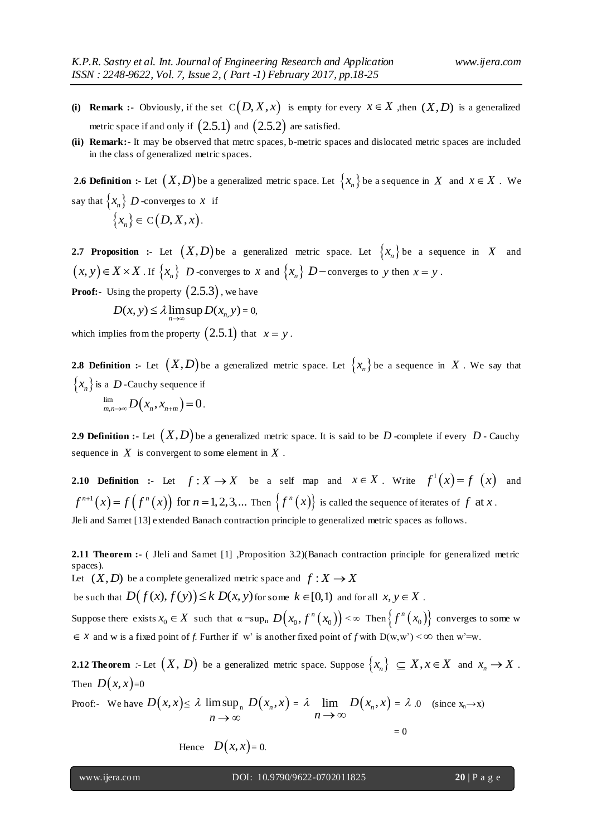- (i) **Remark** :- Obviously, if the set  $C(D, X, x)$  is empty for every  $x \in X$ , then  $(X, D)$  is a generalized metric space if and only if  $\big( 2.5.1 \big)$  and  $\big( 2.5.2 \big)$  are satisfied.
- **(ii) Remark:-** It may be observed that metrc spaces, b-metric spaces and dislocated metric spaces are included in the class of generalized metric spaces.

**2.6 Definition :-** Let  $(X,D)$  be a generalized metric space. Let  $\{x_n\}$  be a sequence in  $X$  and  $x \in X$  . We say that  $\{x_n\}$  D -converges to x if  $\{x_n\} \in C(D, X, x)$ .

**2.7 Proposition :-** Let  $(X,D)$  be a generalized metric space. Let  $\{x_n\}$  be a sequence in X and  $(x, y) \in X \times X$  . If  $\{x_n\}$  *D*-converges to *x* and  $\{x_n\}$  *D*-converges to *y* then  $x = y$ .

**Proof:-** Using the property  $(2.5.3)$  , we have

$$
D(x, y) \le \lambda \lim_{n \to \infty} \sup D(x_{n, y}) = 0,
$$

which implies from the property  $(2.5.1)$  that  $x = y$ .

**2.8 Definition :-** Let  $(X,D)$  be a generalized metric space. Let  $\{x_n\}$  be a sequence in X. We say that  $\{x_n\}$  is a *D* -Cauchy sequence if  $\lim_{m,n\to\infty}D(x_n,x_{n+m})$  $\lim_{m,n\to\infty} D(x_n,x_{n+m})=0$ .

**2.9 Definition :-** Let  $(X,D)$  be a generalized metric space. It is said to be  $D$  -complete if every  $D$  - Cauchy sequence in *X* is convergent to some element in *X* .

**2.10 Definition :-** Let  $f: X \to X$  be a self map and  $x \in X$ . Write  $f'(x) = f(x)$  and  $f(x) = f(f^{n}(x))$ **1.10 Definition** : Let  $f: A \rightarrow A$  be a sent happendum  $x \in A$ . Write  $f'(x) = f(f^{n}(x))$  for  $n = 1, 2, 3, ...$  Then  $\{f^{n}(x)\}$  is called the sequence of iterates of  $f$  at  $x$ . Jleli and Samet [13] extended Banach contraction principle to generalized metric spaces as follows.

**2.11 Theorem :-** ( Jleli and Samet [1] ,Proposition 3.2)(Banach contraction principle for generalized metric spaces).

Let  $(X, D)$  be a complete generalized metric space and  $f: X \to X$ 

be such that  $D(f(x), f(y)) \le k D(x, y)$  for some  $k \in [0,1)$  and for all  $x, y \in X$ .

Suppose there exists  $x_0 \in X$  such that  $\alpha = \sup_n D(x_0, f^n(x_0)) < \infty$  Then  $\{f^n(x_0)\}$  converges to some w  $\in \mathcal{X}$  and w is a fixed point of *f*. Further if w' is another fixed point of *f* with  $D(w, w') < \infty$  then w'=w.

**2.12 Theorem** :- Let  $(X, D)$  be a generalized metric space. Suppose  $\{x_n\} \subseteq X, x \in X$  and  $x_n \to X$ . Then  $D(x,x)=0$ 

Proof: We have 
$$
D(x, x) \le \lambda \limsup_{n \to \infty} D(x_n, x) = \lambda \lim_{n \to \infty} D(x_n, x) = \lambda
$$
.0 (since  $x_n \to x$ )

Hence  $D(x,x)=0$ .

 $= 0$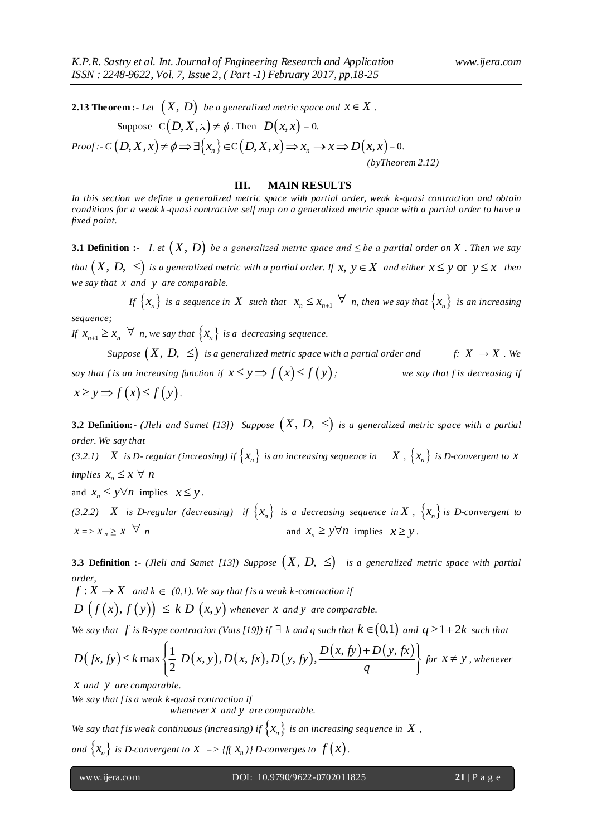**2.13 Theorem :-** Let  $\big(X,\, D\big)$  be a generalized metric space and  $x\in X$  .

Suppose 
$$
C(D, X, x) \neq \emptyset
$$
. Then  $D(x, x) = 0$ .  
\nProof:  $C(D, X, x) \neq \emptyset \Rightarrow \exists \{x_n\} \in C(D, X, x) \Rightarrow x_n \to x \Rightarrow D(x, x) = 0$ .  
\n(*byTheorem 2.12*)

#### **III. MAIN RESULTS**

*In this section we define a generalized metric space with partial order, weak k-quasi contraction and obtain conditions for a weak k -quasi contractive self map on a generalized metric space with a partial order to have a fixed point.*

**3.1 Definition :-** Let  $(X, D)$  be a generalized metric space and  $\leq$  be a partial order on X . Then we say that  $(X, D, \leq)$  is a generalized metric with a partial order. If  $x, y \in X$  and either  $x \leq y$   $\text{or} \,\, y \leq x$   $\,$  then *we say that x and y are comparable.*

If  $\{x_n\}$  is a sequence in X such that  $x_n \leq x_{n+1} \quad \forall$  n, then we say that  $\{x_n\}$  is an increasing *sequence;*

If  $x_{n+1} \ge x_n \quad \forall$  *n*, we say that  $\{x_n\}$  is a decreasing sequence.

Suppose  $(X, D, \, \leq) \,$  is a generalized metric space with a partial order and  $f:$  $f: X \rightarrow X$  *. We say that f is an increasing function if*  $x \le y \implies f(x) \le f(y)$ *; we say that f is decreasing if*   $x \ge y \Rightarrow f(x) \le f(y)$ .

**3.2 Definition:-** (*Jleli and Samet [13]*) Suppose  $(X, D, \leq)$  is a generalized metric space with a partial *order. We say that*

(3.2.1)  $X$  is D-regular (increasing) if  $\{x_n\}$  is an increasing sequence in  $X$  ,  $\{x_n\}$  is D-convergent to  $X$ *implies*  $x_n \leq x \ \forall \ n$ 

and  $x_n \leq y \forall n$  implies  $x \leq y$ .

(3.2.2)  $X$  is D-regular (decreasing) if  $\{x_n\}$  is a decreasing sequence in  $X$ ,  $\{x_n\}$  is D-convergent to  $x = x_n \geq x \quad \forall n$  and  $x_n \geq y \forall n$  implies  $x \geq y$ .

**3.3 Definition :-** (Jleli and Samet [13]) Suppose  $(X, D, \leq)$  is a generalized metric space with partial *order,* 

 $f: X \longrightarrow X$  and  $k \in (0,1)$ . We say that f is a weak k-contraction if

 $D(f(x), f(y)) \leq k D(x, y)$  whenever *x* and *y* are comparable.

We say that  $f$  is R-type contraction (Vats [19]) if  $\exists$  k and  $q$  such that  $k \in (0,1)$  and  $q \geq 1+2k$  such that

$$
D(f(x), f(y)) \leq k D(x, y) \text{ whenever } x \text{ and } y \text{ are comparable.}
$$
  
We say that  $f$  is  $R$ -type contraction (Vats [19]) if  $\exists$   $k$  and  $q$  such that  $k \in (0,1)$  and  $q \geq 1+2k$  such that  

$$
D(fx, fy) \leq k \max \left\{ \frac{1}{2} D(x, y), D(x, fx), D(y, fy), \frac{D(x, fy) + D(y, fx)}{q} \right\} \text{ for } x \neq y, \text{ whenever }
$$

*x and y are comparable.*

*We say that f is a weak k -quasi contraction if* 

 *whenever x and y are comparable.*

We say that f is weak continuous (increasing) if  $\big\{ x_n \big\}$  is an increasing sequence in  $\,X$  ,

and  $\big\{ x_{n} \big\}$  is D-convergent to  $x \implies$  {f(  $x_{n}$  )} D-converges to  $f\left( x\right)$  .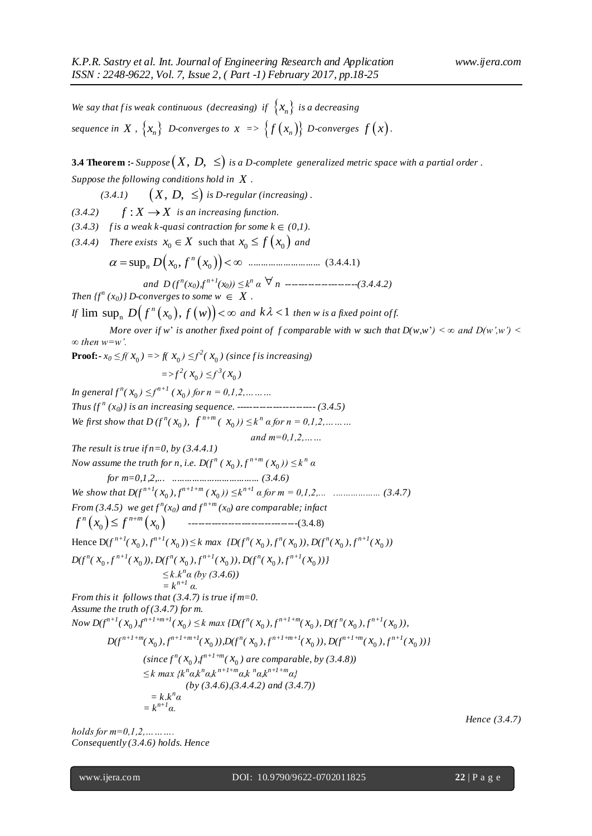We say that f is weak continuous (decreasing) if  $\{x_n\}$  is a decreasing  $\{x_n\}$   $D\text{-converges to } x \implies \left\{f\left(x_n\right)\right\}$   $D\text{-converges } f\left(x\right).$ 

**3.4 Theorem :-**  $\emph{Suppose}\left(X,\, D,\, \leq\right)$  is a D-complete-generalized metric space with a partial order .

*Suppose the following conditions hold in X .*

 *(3.4.1)*   $(X, D, \leq)$  is D-regular (increasing).

 $(3.4.2)$   $f: X \rightarrow X$  *is an increasing function.* 

 $(3.4.3)$  *f* is a weak k-quasi contraction for some  $k \in (0,1)$ .

*(3.4.4) There exists*  $x_0 \in X$  such that  $x_0 \le f(x_0)$  *and* 

$$
\alpha = \sup_{n} D(x_0, f^n(x_0)) < \infty
$$
 ....... (3.4.4.1)

*and D (f <sup>n</sup> (x0),f n+1(x0)) ≤ k<sup>n</sup> α n ----------------------(3.4.4.2)*

*Then*  $\{f^n(x_0)\}\$  *D*-converges to some  $w \in X$ .

Then  $f f^*$  (x<sub>0</sub>) *J* D-converges to some  $w \in X$  .<br>If  $\limsup_n D(f^n(x_0), f(w)) < \infty$  and  $k\lambda < 1$  then w is a fixed point of f.

*More over if* w' *is another fixed point of f comparable with* w such that  $D(w, w') < \infty$  and  $D(w', w') <$ *∞ then w=w'.*

**Proof:**  $\text{-} x_0 \leq f(x_0) = \text{ and } x_0 \leq f^2(x_0)$  (since f is increasing)

$$
=>f^2(x_0) \leq f^3(x_0)
$$

*In general*  $f^{n}(x_0) \leq f^{n+1}(x_0)$  for  $n = 0,1,2,......$ *Thus {f <sup>n</sup> (x0)} is an increasing sequence. ------------------------ (3.4.5) We first show that*  $D(f^{n}(x_0), f^{n+m}(x_0)) \leq k^n a$  *for*  $n = 0,1,2,......$ 

*and m=0,1,2,…… The result is true if n=0, by (3.4.4.1) Now assume the truth for n, i.e.*  $D(f^{n}(x_{0}), f^{n+m}(x_{0})) \leq k^{n} \alpha$ *for m=0,1,2,... ................................... (3.4.6) We show that D(f n+1(* 0 *x ), f n+1+m (* 0 *x )) ≤ k n+1 α for m = 0,1,2,... ................... (3.4.7) From* (3.4.5) *we get*  $f^{n}(x_0)$  and  $f^{n+m}(x_0)$  are comparable; infact  $f^{n}(x_{0}) \leq f^{n+m}(x_{0})$ ---------------------------------(3.4.8)

Hence  $D(f^{n+1}(x_0), f^{n+1}(x_0)) \le k \max \{D(f^n(x_0), f^n(x_0)), D(f^n(x_0), f^{n+1}(x_0))\}$ 

$$
D(f^{n}(x_0, f^{n+1}(x_0)), D(f^{n}(x_0), f^{n+1}(x_0)), D(f^{n}(x_0), f^{n+1}(x_0)))
$$

 $\leq k.k^n$ *α* (*by* (3.4.6))  $= k^{n+1} \alpha$ . *From this it follows that (3.4.7) is true if m=0. Assume the truth of (3.4.7) for m.* Now  $D(f^{n+1}(x_0), f^{n+1+m+l}(x_0) \leq k \max\{D(f^n(x_0), f^{n+1+m}(x_0), D(f^n(x_0), f^{n+l}(x_0)),$ 

 $D(f^{n+1+m}(x_0), f^{n+1+m+l}(x_0)), D(f^n(x_0), f^{n+1+m+l}(x_0)), D(f^{n+1+m}(x_0), f^{n+l}(x_0)))$  $(since f^{n}(X_{0})$ ,  $f^{n+1+m}(X_{0})$  are comparable, by  $(3.4.8)$ )

$$
\leq k \max \{k^n a, k^n a, k^{n+1+m} a, k^n a, k^{n+1+m} a\}
$$
  
(by (3.4.6), (3.4.4.2) and (3.4.7))  
= k.k<sup>n</sup> a

 $= k^{n+1} \alpha$ .

*holds for m=0,1,2,………. Consequently (3.4.6) holds. Hence*   *Hence (3.4.7)*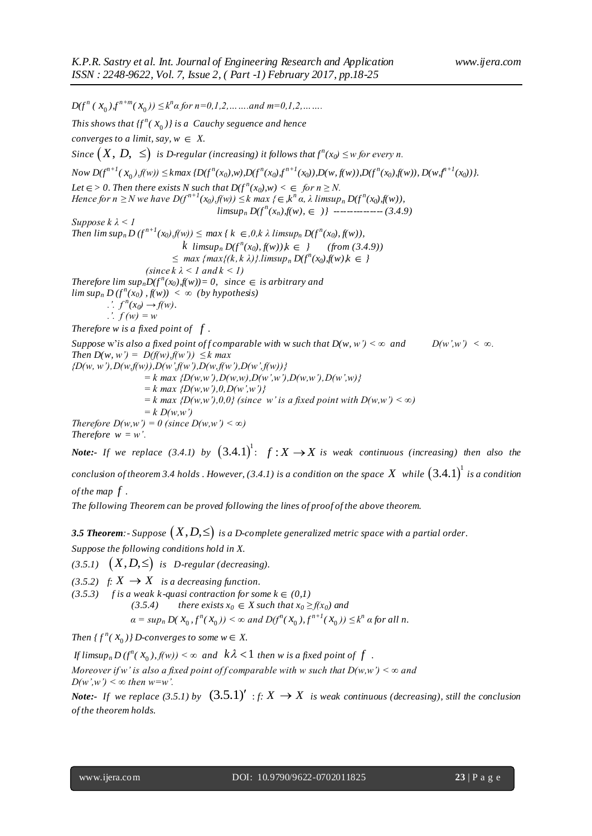$D(f^{n} (x_0), f^{n+m}(x_0)) \leq k^n \alpha \text{ for } n = 0, 1, 2, \dots \dots \text{ and } m = 0, 1, 2, \dots \dots$ This shows that  $f^{n}(x_{0})$  *is a* Cauchy seguence and hence *converges to a limit, say,*  $w \in X$ . Since  $\big(X,\, D,\,\, \leq\big)$  is D-regular (increasing) it follows that  $f^{n}(x_0)\leq$  w for every n. Now  $D(f^{n+1}(x_0), f(w)) \leq kmax\{D(f^n(x_0), w), D(f^n(x_0), f^{n+1}(x_0)), D(w, f(w)), D(f^n(x_0), f(w)), D(w, f^{n+1}(x_0))\}.$ *Let*  $\in$  > 0. Then there exists N such that  $D(f^n(x_0), w) < \in$  for  $n \geq N$ . *Hence for n*  $\geq$  *N* we have  $D(f^{n+1}(x_0), f(w)) \leq k$  max {  $\in$  ,  $k^n \alpha$ ,  $\lambda$  limsup<sub>n</sub>  $D(f^n(x_0), f(w))$ ,  $\limsup_n D(f^n(x_n), f(n)) \in )$  -------------- (3.4.9) *Suppose k λ < 1 Then*  $\limsup_n D(f^{n+1}(x_0), f(w)) \le \max \{k \in (0, k \lambda \limsup_n D(f^n(x_0), f(w)),\}$ *k*  $\limsup_{n} D(f^{n}(x_{0}), f(w))$ , $k \in \{$  (from (3.4.9))  $\leq$  *max* {*max{(k, k \l)}.limsup<sub>n</sub>*  $D(f^{n}(x_0), f(w), k \in \}$ *(since k λ < 1 and k < 1) Therefore lim*  $sup_n D(f^n(x_0), f(w)) = 0$ , since  $\in$  is arbitrary and  $\limsup_n D(f^n(x_0), f(n)) < \infty$  (by hypothesis)  $\therefore$   $f^{n}(x_0) \rightarrow f(w).$ *.'. f (w) = w Therefore w is a fixed point of f . Suppose* w'*is also a fixed point of f comparable with* w *such* that  $D(w, w') < \infty$  and  $D(w', w') < \infty$ . *Then*  $D(w, w') = D(f(w), f(w')) \leq k \max$ *{D(w, w'),D(w,f(w)),D(w',f(w'),D(w,f(w'),D(w',f(w))}*  $= k \max \{D(w, w'), D(w, w), D(w', w'), D(w, w'), D(w', w)\}$  *= k max {D(w,w'),0,D(w',w')}*  $k = k$  max  $\{D(w, w'), 0, 0\}$  (since w' is a fixed point with  $D(w, w') < \infty$ )  $= k D(w, w')$ *Therefore D(w,w')* = 0 (since D(w,w') <  $\infty$ ) *Therefore*  $w = w'$ .

*Note***:-** If we replace (3.4.1) by  $(3.4.1)^{1}$ :  $f: X \rightarrow X$  is weak continuous (increasing) then also the

conclusion of theorem 3.4 holds . However, (3.4.1) is a condition on the space  $X$  while  $\big(3.4.1\big)^{\!1}$  is a condition *of the map f* .

*The following Theorem can be proved following the lines of proof of the above theorem.*

**3.5 Theorem**:- Suppose  $(X,D,\leq)$  is a D-complete generalized metric space with a partial order.

*Suppose the following conditions hold in X.*

 $(3.5.1)$   $(X,D,\leq)$  is D-regular (decreasing).

 $(3.5.2)$  *f:*  $X \rightarrow X$  *is a decreasing function.* 

 $(3.5.3)$  *f is a weak k-quasi contraction for some k*  $\in$   $(0,1)$  $(3.5.4)$  there exists  $x_0 \in X$  such that  $x_0 \ge f(x_0)$  and  $\alpha = \sup_n D(X_0, f^n(X_0)) \le \infty$  and  $D(f^n(X_0), f^{n+1}(X_0)) \le k^n$  a for all n.

*Then*  $\{f^{n}(x_0)\}$  *D*-converges to some  $w \in X$ .

*If limsup<sub>n</sub>*  $D(f^n(X_0), f(w)) < \infty$  and  $k\lambda < 1$  then w is a fixed point of  $f$  .

*Moreover if w' is also a fixed point of f comparable with w such that*  $D(w, w') < \infty$  *and*  $D(w', w') \leq \infty$  then w=w'.

*Note*: If we replace (3.5.1) by  $(3.5.1)'$  : *f*:  $X \to X$  is weak continuous (decreasing), still the conclusion *of the theorem holds.*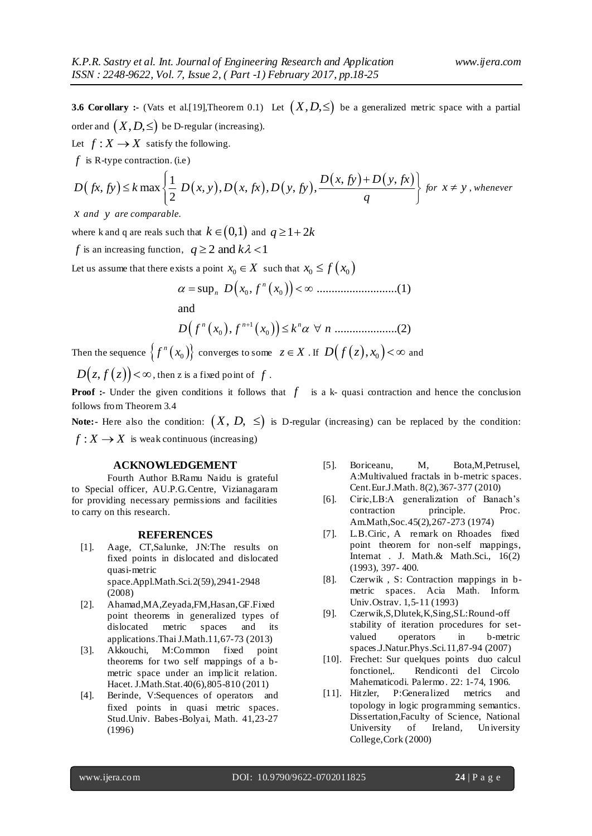**3.6 Corollary :-** (Vats et al.[19],Theorem 0.1) Let  $(X, D, \leq)$  be a generalized metric space with a partial order and  $\big(X,D,\leq\big)$  be D-regular (increasing).

Let  $f: X \to X$  satisfy the following.

*f* is R-type contraction. (i.e)

Let 
$$
f: X \to X
$$
 satisfy the following.  
\n $f$  is R-type contraction. (i.e)  
\n
$$
D(fx, fy) \le k \max \left\{ \frac{1}{2} D(x, y), D(x, fx), D(y, fy), \frac{D(x, fy) + D(y, fx)}{q} \right\} \text{ for } x \ne y \text{, whenever}
$$

*x and y are comparable.*

where k and q are reals such that  $k$   $\in$   $(0,1)$  and  $q$   $\ge$   $1$  +  $2k$ 

*f* is an increasing function,  $q \ge 2$  and  $k\lambda < 1$ 

Let us assume that there exists a point 
$$
x_0 \in X
$$
 such that  $x_0 \le f(x_0)$   

$$
\alpha = \sup_n D(x_0, f^n(x_0)) < \infty
$$
.................(1)

and

and  

$$
D(f^{n}(x_{0}), f^{n+1}(x_{0})) \leq k^{n} \alpha \ \forall n \ ....... \ ....... (2)
$$

Then the sequence  $\{f^n(x_0)\}$  converges to some  $z \in X$  . If  $D\big(f\big(z\big),x_0\big)\}<\infty$  and

 $D(z, f(z)) < \infty$ , then z is a fixed point of f.

**Proof :-** Under the given conditions it follows that  $f$  is a k- quasi contraction and hence the conclusion follows from Theorem 3.4

**Note:** Here also the condition:  $(X, D, \leq)$  is D-regular (increasing) can be replaced by the condition:  $f: X \to X$  is weak continuous (increasing)

### **ACKNOWLEDGEMENT**

Fourth Author B.Ramu Naidu is grateful to Special officer, AU.P.G.Centre, Vizianagaram for providing necessary permissions and facilities to carry on this research.

#### **REFERENCES**

- [1]. Aage, CT,Salunke, JN:The results on fixed points in dislocated and dislocated quasi-metric space.Appl.Math.Sci.2(59),2941-2948 (2008)
- [2]. Ahamad,MA,Zeyada,FM,Hasan,GF.Fixed point theorems in generalized types of dislocated metric spaces and its applications.Thai J.Math.11,67-73 (2013)
- [3]. Akkouchi, M:Common fixed point theorems for two self mappings of a bmetric space under an implicit relation. Hacet. J.Math.Stat.40(6),805-810 (2011)
- [4]. Berinde, V:Sequences of operators and fixed points in quasi metric spaces. Stud.Univ. Babes-Bolyai, Math. 41,23-27 (1996)
- [5]. Boriceanu, M, Bota,M,Petrusel, A:Multivalued fractals in b-metric spaces. Cent.Eur.J.Math. 8(2),367-377 (2010)
- [6]. Ciric,LB:A generalization of Banach's contraction principle. Proc. Am.Math,Soc.45(2),267-273 (1974)
- [7]. L.B.Ciric, A remark on Rhoades fixed point theorem for non-self mappings, Internat . J. Math.& Math.Sci., 16(2) (1993), 397- 400.
- [8]. Czerwik , S: Contraction mappings in bmetric spaces. Acia Math. Inform. Univ.Ostrav. 1,5-11 (1993)
- [9]. Czerwik,S,Dlutek,K,Sing,SL:Round-off stability of iteration procedures for setvalued operators in b-metric spaces.J.Natur.Phys.Sci.11,87-94 (2007)
- [10]. Frechet: Sur quelques points duo calcul fonctionel,. Rendiconti del Circolo Mahematicodi. Palermo. 22: 1-74, 1906.
- [11]. Hitzler, P:Generalized metrics and topology in logic programming semantics. Dissertation,Faculty of Science, National University of Ireland, University College,Cork (2000)